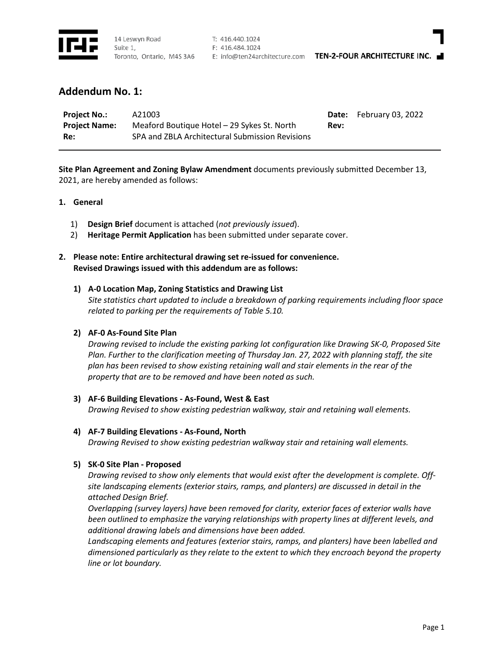

T: 416.440.1024 F: 416.484.1024

E: info@ten24architecture.com TEN-2-FOUR ARCHITECTURE INC.

# **Addendum No. 1:**

| <b>Project No.:</b>  | A21003                                          |      | <b>Date:</b> February 03, 2022 |
|----------------------|-------------------------------------------------|------|--------------------------------|
| <b>Project Name:</b> | Meaford Boutique Hotel – 29 Sykes St. North     | Rev: |                                |
| Re:                  | SPA and ZBLA Architectural Submission Revisions |      |                                |

**Site Plan Agreement and Zoning Bylaw Amendment** documents previously submitted December 13, 2021, are hereby amended as follows:

## **1. General**

- 1) **Design Brief** document is attached (*not previously issued*).
- 2) **Heritage Permit Application** has been submitted under separate cover.
- **2. Please note: Entire architectural drawing set re-issued for convenience. Revised Drawings issued with this addendum are as follows:**

# **1) A-0 Location Map, Zoning Statistics and Drawing List**

*Site statistics chart updated to include a breakdown of parking requirements including floor space related to parking per the requirements of Table 5.10.*

## **2) AF-0 As-Found Site Plan**

*Drawing revised to include the existing parking lot configuration like Drawing SK-0, Proposed Site Plan. Further to the clarification meeting of Thursday Jan. 27, 2022 with planning staff, the site plan has been revised to show existing retaining wall and stair elements in the rear of the property that are to be removed and have been noted as such.* 

## **3) AF-6 Building Elevations - As-Found, West & East**

*Drawing Revised to show existing pedestrian walkway, stair and retaining wall elements.*

## **4) AF-7 Building Elevations - As-Found, North**

*Drawing Revised to show existing pedestrian walkway stair and retaining wall elements.*

## **5) SK-0 Site Plan - Proposed**

*Drawing revised to show only elements that would exist after the development is complete. Offsite landscaping elements (exterior stairs, ramps, and planters) are discussed in detail in the attached Design Brief.*

*Overlapping (survey layers) have been removed for clarity, exterior faces of exterior walls have been outlined to emphasize the varying relationships with property lines at different levels, and additional drawing labels and dimensions have been added.*

*Landscaping elements and features (exterior stairs, ramps, and planters) have been labelled and dimensioned particularly as they relate to the extent to which they encroach beyond the property line or lot boundary.*